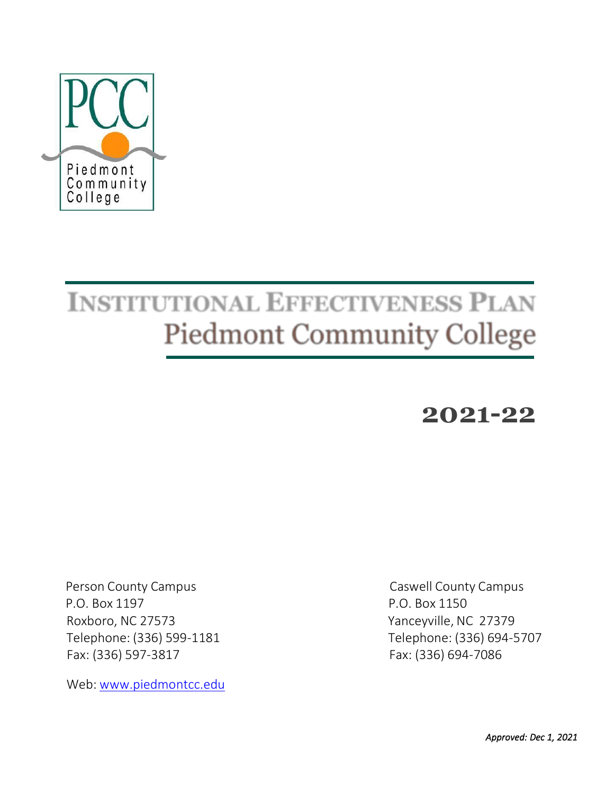

# **INSTITUTIONAL EFFECTIVENESS PLAN Piedmont Community College**

# **2021-22**

 P.O. Box 1197 P.O. Box 1150 Roxboro, NC 27573 Yanceyville, NC 27379 Fax: (336) 597-3817 Fax: (336) 694-7086

Web: [www.piedmontcc.edu](http://www.piedmontcc.edu/)

Person County Campus Caswell County Campus Telephone: (336) 599-1181 Telephone: (336) 694-5707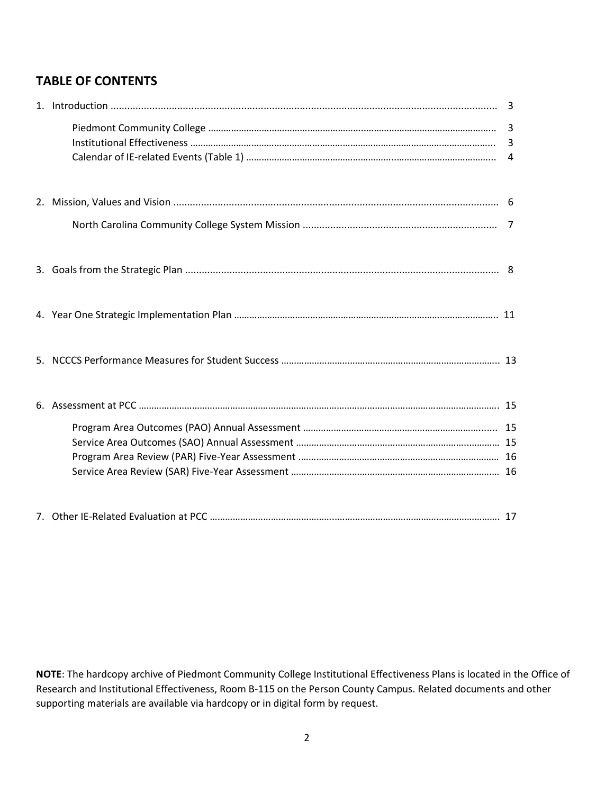# **TABLE OF CONTENTS**

**NOTE**: The hardcopy archive of Piedmont Community College Institutional Effectiveness Plans is located in the Office of Research and Institutional Effectiveness, Room B-115 on the Person County Campus. Related documents and other supporting materials are available via hardcopy or in digital form by request.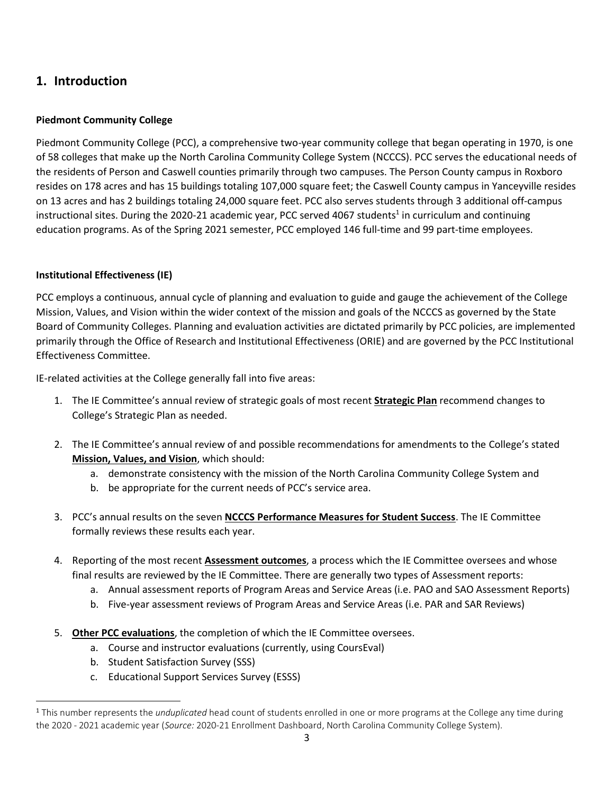# **1. Introduction**

# **Piedmont Community College**

Piedmont Community College (PCC), a comprehensive two-year community college that began operating in 1970, is one of 58 colleges that make up the North Carolina Community College System (NCCCS). PCC serves the educational needs of the residents of Person and Caswell counties primarily through two campuses. The Person County campus in Roxboro resides on 178 acres and has 15 buildings totaling 107,000 square feet; the Caswell County campus in Yanceyville resides on 13 acres and has 2 buildings totaling 24,000 square feet. PCC also serves students through 3 additional off-campus instructional sites. During the 2020-21 academic year, PCC served 4067 students<sup>1</sup> in curriculum and continuing education programs. As of the Spring 2021 semester, PCC employed 146 full-time and 99 part-time employees.

# **Institutional Effectiveness (IE)**

PCC employs a continuous, annual cycle of planning and evaluation to guide and gauge the achievement of the College Mission, Values, and Vision within the wider context of the mission and goals of the NCCCS as governed by the State Board of Community Colleges. Planning and evaluation activities are dictated primarily by PCC policies, are implemented primarily through the Office of Research and Institutional Effectiveness (ORIE) and are governed by the PCC Institutional Effectiveness Committee.

IE-related activities at the College generally fall into five areas:

- 1. The IE Committee's annual review of strategic goals of most recent **Strategic Plan** recommend changes to College's Strategic Plan as needed.
- 2. The IE Committee's annual review of and possible recommendations for amendments to the College's stated **Mission, Values, and Vision**, which should:
	- a. demonstrate consistency with the mission of the North Carolina Community College System and
	- b. be appropriate for the current needs of PCC's service area.
- 3. PCC's annual results on the seven **NCCCS Performance Measures for Student Success**. The IE Committee formally reviews these results each year.
- 4. Reporting of the most recent **Assessment outcomes**, a process which the IE Committee oversees and whose final results are reviewed by the IE Committee. There are generally two types of Assessment reports:
	- a. Annual assessment reports of Program Areas and Service Areas (i.e. PAO and SAO Assessment Reports)
	- b. Five-year assessment reviews of Program Areas and Service Areas (i.e. PAR and SAR Reviews)
- 5. **Other PCC evaluations**, the completion of which the IE Committee oversees.
	- a. Course and instructor evaluations (currently, using CoursEval)
	- b. Student Satisfaction Survey (SSS)
	- c. Educational Support Services Survey (ESSS)

<sup>1</sup> This number represents the *unduplicated* head count of students enrolled in one or more programs at the College any time during the 2020 - 2021 academic year (*Source:* 2020-21 Enrollment Dashboard, North Carolina Community College System).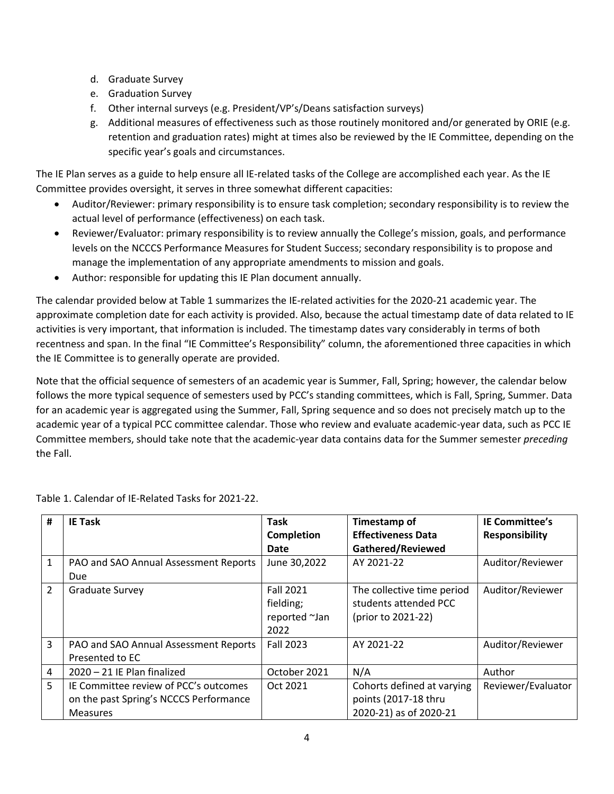- d. Graduate Survey
- e. Graduation Survey
- f. Other internal surveys (e.g. President/VP's/Deans satisfaction surveys)
- g. Additional measures of effectiveness such as those routinely monitored and/or generated by ORIE (e.g. retention and graduation rates) might at times also be reviewed by the IE Committee, depending on the specific year's goals and circumstances.

The IE Plan serves as a guide to help ensure all IE-related tasks of the College are accomplished each year. As the IE Committee provides oversight, it serves in three somewhat different capacities:

- Auditor/Reviewer: primary responsibility is to ensure task completion; secondary responsibility is to review the actual level of performance (effectiveness) on each task.
- Reviewer/Evaluator: primary responsibility is to review annually the College's mission, goals, and performance levels on the NCCCS Performance Measures for Student Success; secondary responsibility is to propose and manage the implementation of any appropriate amendments to mission and goals.
- Author: responsible for updating this IE Plan document annually.

The calendar provided below at Table 1 summarizes the IE-related activities for the 2020-21 academic year. The approximate completion date for each activity is provided. Also, because the actual timestamp date of data related to IE activities is very important, that information is included. The timestamp dates vary considerably in terms of both recentness and span. In the final "IE Committee's Responsibility" column, the aforementioned three capacities in which the IE Committee is to generally operate are provided.

Note that the official sequence of semesters of an academic year is Summer, Fall, Spring; however, the calendar below follows the more typical sequence of semesters used by PCC's standing committees, which is Fall, Spring, Summer. Data for an academic year is aggregated using the Summer, Fall, Spring sequence and so does not precisely match up to the academic year of a typical PCC committee calendar. Those who review and evaluate academic-year data, such as PCC IE Committee members, should take note that the academic-year data contains data for the Summer semester *preceding* the Fall.

| #              | <b>IE Task</b>                         | Task              | Timestamp of               | <b>IE Committee's</b> |
|----------------|----------------------------------------|-------------------|----------------------------|-----------------------|
|                |                                        | <b>Completion</b> | <b>Effectiveness Data</b>  | <b>Responsibility</b> |
|                |                                        | Date              | Gathered/Reviewed          |                       |
| $\mathbf{1}$   | PAO and SAO Annual Assessment Reports  | June 30,2022      | AY 2021-22                 | Auditor/Reviewer      |
|                | Due                                    |                   |                            |                       |
| $\mathcal{P}$  | <b>Graduate Survey</b>                 | <b>Fall 2021</b>  | The collective time period | Auditor/Reviewer      |
|                |                                        | fielding;         | students attended PCC      |                       |
|                |                                        | reported ~Jan     | (prior to 2021-22)         |                       |
|                |                                        | 2022              |                            |                       |
| $\overline{3}$ | PAO and SAO Annual Assessment Reports  | <b>Fall 2023</b>  | AY 2021-22                 | Auditor/Reviewer      |
|                | Presented to EC                        |                   |                            |                       |
| 4              | 2020 - 21 IE Plan finalized            | October 2021      | N/A                        | Author                |
| 5              | IE Committee review of PCC's outcomes  | Oct 2021          | Cohorts defined at varying | Reviewer/Evaluator    |
|                | on the past Spring's NCCCS Performance |                   | points (2017-18 thru       |                       |
|                | <b>Measures</b>                        |                   | 2020-21) as of 2020-21     |                       |

Table 1. Calendar of IE-Related Tasks for 2021-22.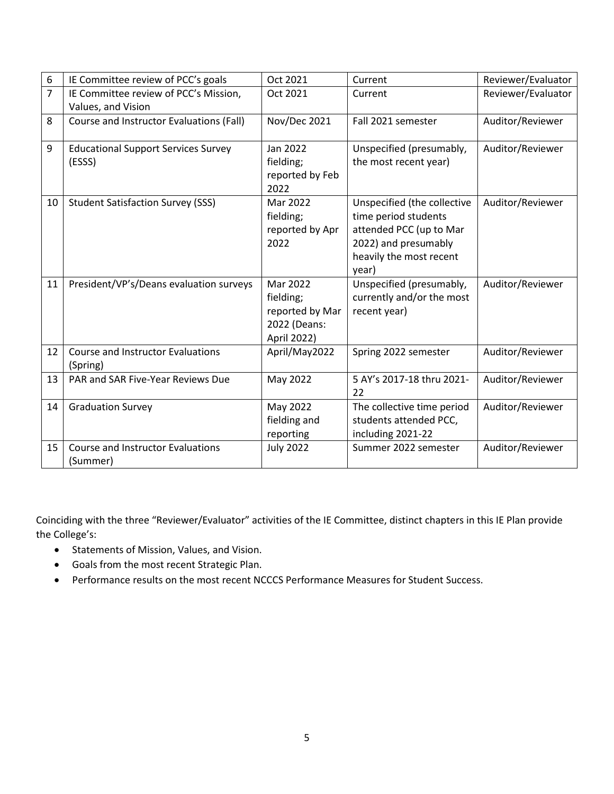| 6              | IE Committee review of PCC's goals         | Oct 2021            | Current                     | Reviewer/Evaluator |
|----------------|--------------------------------------------|---------------------|-----------------------------|--------------------|
| $\overline{7}$ | IE Committee review of PCC's Mission,      | Oct 2021            | Current                     | Reviewer/Evaluator |
|                | Values, and Vision                         |                     |                             |                    |
| 8              | Course and Instructor Evaluations (Fall)   | <b>Nov/Dec 2021</b> | Fall 2021 semester          | Auditor/Reviewer   |
|                |                                            |                     |                             |                    |
| 9              | <b>Educational Support Services Survey</b> | Jan 2022            | Unspecified (presumably,    | Auditor/Reviewer   |
|                | (ESSS)                                     | fielding;           | the most recent year)       |                    |
|                |                                            | reported by Feb     |                             |                    |
|                |                                            | 2022                |                             |                    |
| 10             | <b>Student Satisfaction Survey (SSS)</b>   | Mar 2022            | Unspecified (the collective | Auditor/Reviewer   |
|                |                                            | fielding;           | time period students        |                    |
|                |                                            | reported by Apr     | attended PCC (up to Mar     |                    |
|                |                                            | 2022                | 2022) and presumably        |                    |
|                |                                            |                     | heavily the most recent     |                    |
|                |                                            |                     | year)                       |                    |
| 11             | President/VP's/Deans evaluation surveys    | Mar 2022            | Unspecified (presumably,    | Auditor/Reviewer   |
|                |                                            | fielding;           | currently and/or the most   |                    |
|                |                                            | reported by Mar     | recent year)                |                    |
|                |                                            | 2022 (Deans:        |                             |                    |
|                |                                            | April 2022)         |                             |                    |
| 12             | <b>Course and Instructor Evaluations</b>   | April/May2022       | Spring 2022 semester        | Auditor/Reviewer   |
|                | (Spring)                                   |                     |                             |                    |
| 13             | PAR and SAR Five-Year Reviews Due          | May 2022            | 5 AY's 2017-18 thru 2021-   | Auditor/Reviewer   |
|                |                                            |                     | 22                          |                    |
| 14             | <b>Graduation Survey</b>                   | May 2022            | The collective time period  | Auditor/Reviewer   |
|                |                                            | fielding and        | students attended PCC,      |                    |
|                |                                            | reporting           | including 2021-22           |                    |
| 15             | <b>Course and Instructor Evaluations</b>   | <b>July 2022</b>    | Summer 2022 semester        | Auditor/Reviewer   |
|                | (Summer)                                   |                     |                             |                    |

Coinciding with the three "Reviewer/Evaluator" activities of the IE Committee, distinct chapters in this IE Plan provide the College's:

- Statements of Mission, Values, and Vision.
- Goals from the most recent Strategic Plan.
- Performance results on the most recent NCCCS Performance Measures for Student Success.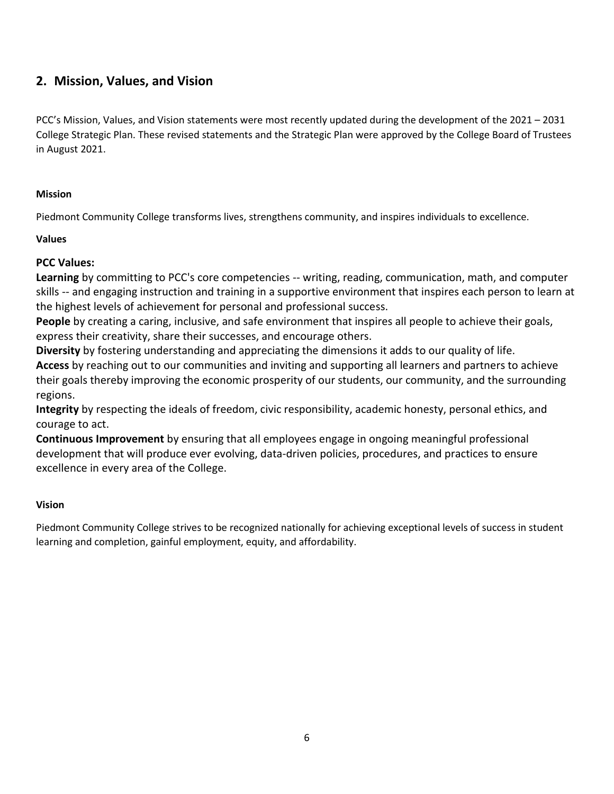# **2. Mission, Values, and Vision**

PCC's Mission, Values, and Vision statements were most recently updated during the development of the 2021 – 2031 College Strategic Plan. These revised statements and the Strategic Plan were approved by the College Board of Trustees in August 2021.

# **Mission**

Piedmont Community College transforms lives, strengthens community, and inspires individuals to excellence.

# **Values**

# **PCC Values:**

**Learning** by committing to PCC's core competencies -- writing, reading, communication, math, and computer skills -- and engaging instruction and training in a supportive environment that inspires each person to learn at the highest levels of achievement for personal and professional success.

**People** by creating a caring, inclusive, and safe environment that inspires all people to achieve their goals, express their creativity, share their successes, and encourage others.

**Diversity** by fostering understanding and appreciating the dimensions it adds to our quality of life.

**Access** by reaching out to our communities and inviting and supporting all learners and partners to achieve their goals thereby improving the economic prosperity of our students, our community, and the surrounding regions.

**Integrity** by respecting the ideals of freedom, civic responsibility, academic honesty, personal ethics, and courage to act.

**Continuous Improvement** by ensuring that all employees engage in ongoing meaningful professional development that will produce ever evolving, data-driven policies, procedures, and practices to ensure excellence in every area of the College. 

# **Vision**

Piedmont Community College strives to be recognized nationally for achieving exceptional levels of success in student learning and completion, gainful employment, equity, and affordability.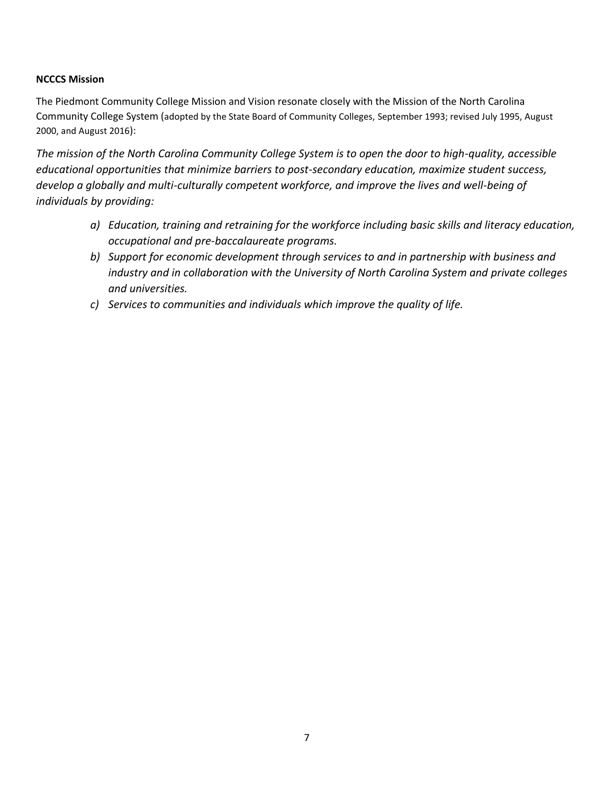### **NCCCS Mission**

The Piedmont Community College Mission and Vision resonate closely with the Mission of the North Carolina Community College System (adopted by the State Board of Community Colleges, September 1993; revised July 1995, August 2000, and August 2016):

*The mission of the North Carolina Community College System is to open the door to high-quality, accessible educational opportunities that minimize barriers to post-secondary education, maximize student success, develop a globally and multi-culturally competent workforce, and improve the lives and well-being of individuals by providing:*

- *a) Education, training and retraining for the workforce including basic skills and literacy education, occupational and pre-baccalaureate programs.*
- *b) Support for economic development through services to and in partnership with business and industry and in collaboration with the University of North Carolina System and private colleges and universities.*
- *c) Services to communities and individuals which improve the quality of life.*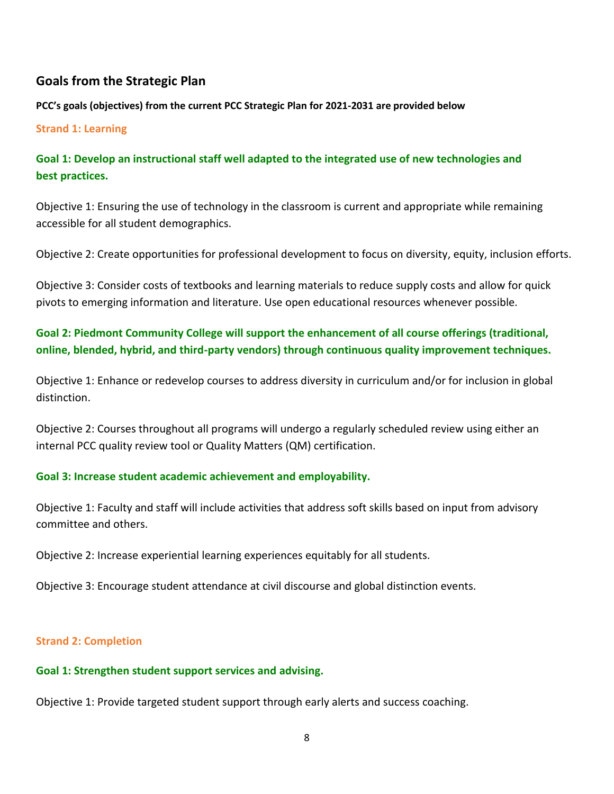# **Goals from the Strategic Plan**

**PCC's goals (objectives) from the current PCC Strategic Plan for 2021-2031 are provided below**

## **Strand 1: Learning**

# **Goal 1: Develop an instructional staff well adapted to the integrated use of new technologies and best practices.**

Objective 1: Ensuring the use of technology in the classroom is current and appropriate while remaining accessible for all student demographics.

Objective 2: Create opportunities for professional development to focus on diversity, equity, inclusion efforts.

Objective 3: Consider costs of textbooks and learning materials to reduce supply costs and allow for quick pivots to emerging information and literature. Use open educational resources whenever possible.

# **Goal 2: Piedmont Community College will support the enhancement of all course offerings (traditional, online, blended, hybrid, and third-party vendors) through continuous quality improvement techniques.**

Objective 1: Enhance or redevelop courses to address diversity in curriculum and/or for inclusion in global distinction.

Objective 2: Courses throughout all programs will undergo a regularly scheduled review using either an internal PCC quality review tool or Quality Matters (QM) certification.

# **Goal 3: Increase student academic achievement and employability.**

Objective 1: Faculty and staff will include activities that address soft skills based on input from advisory committee and others.

Objective 2: Increase experiential learning experiences equitably for all students.

Objective 3: Encourage student attendance at civil discourse and global distinction events.

#### **Strand 2: Completion**

# **Goal 1: Strengthen student support services and advising.**

Objective 1: Provide targeted student support through early alerts and success coaching.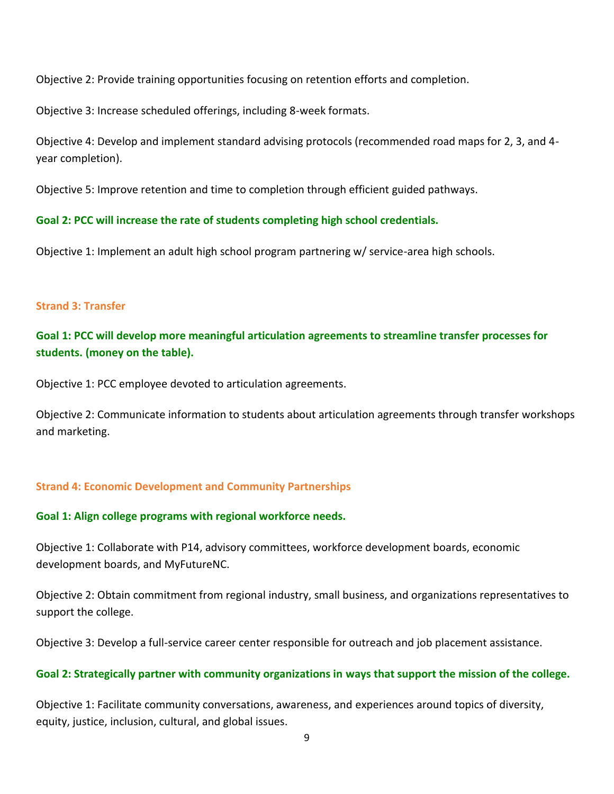Objective 2: Provide training opportunities focusing on retention efforts and completion.

Objective 3: Increase scheduled offerings, including 8-week formats.

Objective 4: Develop and implement standard advising protocols (recommended road maps for 2, 3, and 4 year completion).

Objective 5: Improve retention and time to completion through efficient guided pathways.

**Goal 2: PCC will increase the rate of students completing high school credentials.**

Objective 1: Implement an adult high school program partnering w/ service-area high schools.

# **Strand 3: Transfer**

**Goal 1: PCC will develop more meaningful articulation agreements to streamline transfer processes for students. (money on the table).**

Objective 1: PCC employee devoted to articulation agreements.

Objective 2: Communicate information to students about articulation agreements through transfer workshops and marketing.

# **Strand 4: Economic Development and Community Partnerships**

# **Goal 1: Align college programs with regional workforce needs.**

Objective 1: Collaborate with P14, advisory committees, workforce development boards, economic development boards, and MyFutureNC.

Objective 2: Obtain commitment from regional industry, small business, and organizations representatives to support the college.

Objective 3: Develop a full-service career center responsible for outreach and job placement assistance.

# **Goal 2: Strategically partner with community organizations in ways that support the mission of the college.**

Objective 1: Facilitate community conversations, awareness, and experiences around topics of diversity, equity, justice, inclusion, cultural, and global issues.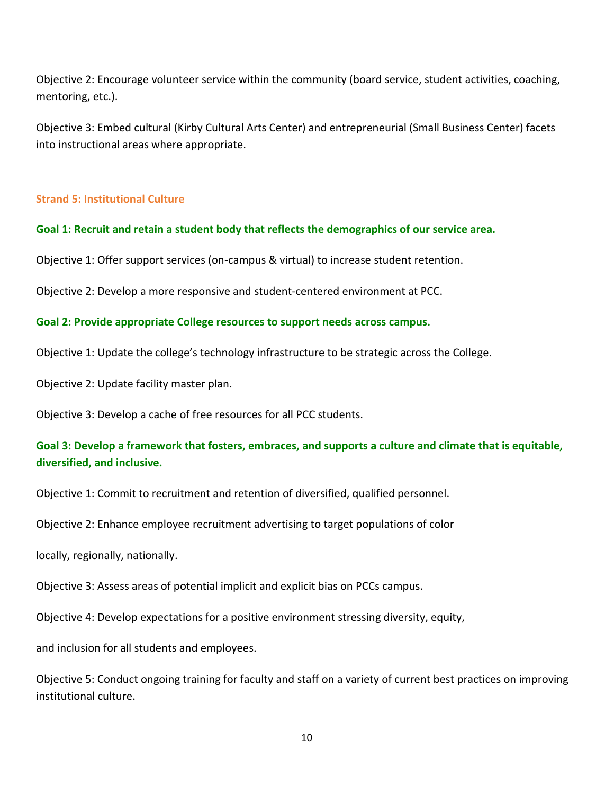Objective 2: Encourage volunteer service within the community (board service, student activities, coaching, mentoring, etc.).

Objective 3: Embed cultural (Kirby Cultural Arts Center) and entrepreneurial (Small Business Center) facets into instructional areas where appropriate.

# **Strand 5: Institutional Culture**

### **Goal 1: Recruit and retain a student body that reflects the demographics of our service area.**

Objective 1: Offer support services (on-campus & virtual) to increase student retention.

Objective 2: Develop a more responsive and student-centered environment at PCC.

### **Goal 2: Provide appropriate College resources to support needs across campus.**

Objective 1: Update the college's technology infrastructure to be strategic across the College.

Objective 2: Update facility master plan.

Objective 3: Develop a cache of free resources for all PCC students.

# **Goal 3: Develop a framework that fosters, embraces, and supports a culture and climate that is equitable, diversified, and inclusive.**

Objective 1: Commit to recruitment and retention of diversified, qualified personnel.

Objective 2: Enhance employee recruitment advertising to target populations of color

locally, regionally, nationally.

Objective 3: Assess areas of potential implicit and explicit bias on PCCs campus.

Objective 4: Develop expectations for a positive environment stressing diversity, equity,

and inclusion for all students and employees.

Objective 5: Conduct ongoing training for faculty and staff on a variety of current best practices on improving institutional culture.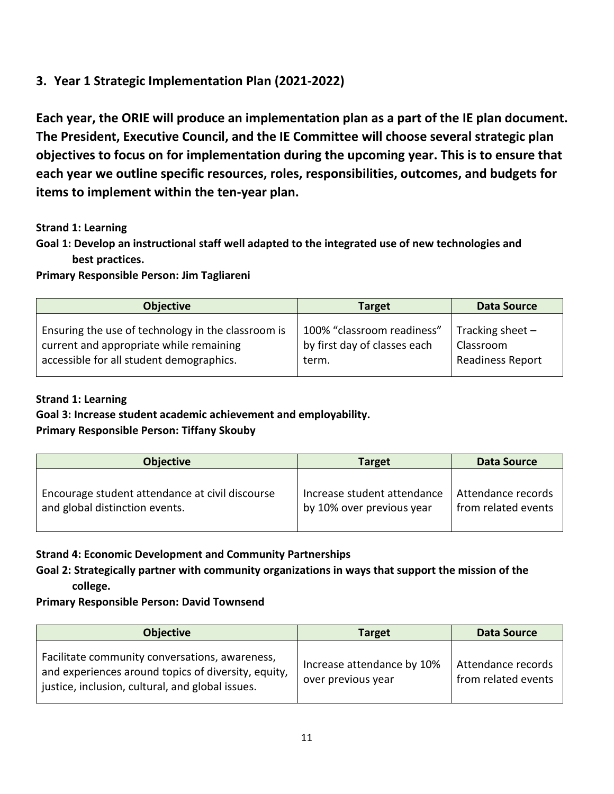# **3. Year 1 Strategic Implementation Plan (2021-2022)**

**Each year, the ORIE will produce an implementation plan as a part of the IE plan document. The President, Executive Council, and the IE Committee will choose several strategic plan objectives to focus on for implementation during the upcoming year. This is to ensure that each year we outline specific resources, roles, responsibilities, outcomes, and budgets for items to implement within the ten-year plan.** 

# **Strand 1: Learning**

**Goal 1: Develop an instructional staff well adapted to the integrated use of new technologies and best practices.**

# **Primary Responsible Person: Jim Tagliareni**

| <b>Objective</b>                                   | <b>Target</b>                | <b>Data Source</b>      |
|----------------------------------------------------|------------------------------|-------------------------|
| Ensuring the use of technology in the classroom is | 100% "classroom readiness"   | Tracking sheet $-$      |
| current and appropriate while remaining            | by first day of classes each | Classroom               |
| accessible for all student demographics.           | term.                        | <b>Readiness Report</b> |

# **Strand 1: Learning**

# **Goal 3: Increase student academic achievement and employability. Primary Responsible Person: Tiffany Skouby**

| <b>Objective</b>                                | <b>Target</b>               | Data Source         |
|-------------------------------------------------|-----------------------------|---------------------|
| Encourage student attendance at civil discourse | Increase student attendance | Attendance records  |
| and global distinction events.                  | by 10% over previous year   | from related events |

# **Strand 4: Economic Development and Community Partnerships**

# **Goal 2: Strategically partner with community organizations in ways that support the mission of the college.**

# **Primary Responsible Person: David Townsend**

| <b>Objective</b>                                                                                                                                          | <b>Target</b>                                    | <b>Data Source</b>                        |
|-----------------------------------------------------------------------------------------------------------------------------------------------------------|--------------------------------------------------|-------------------------------------------|
| Facilitate community conversations, awareness,<br>and experiences around topics of diversity, equity,<br>justice, inclusion, cultural, and global issues. | Increase attendance by 10%<br>over previous year | Attendance records<br>from related events |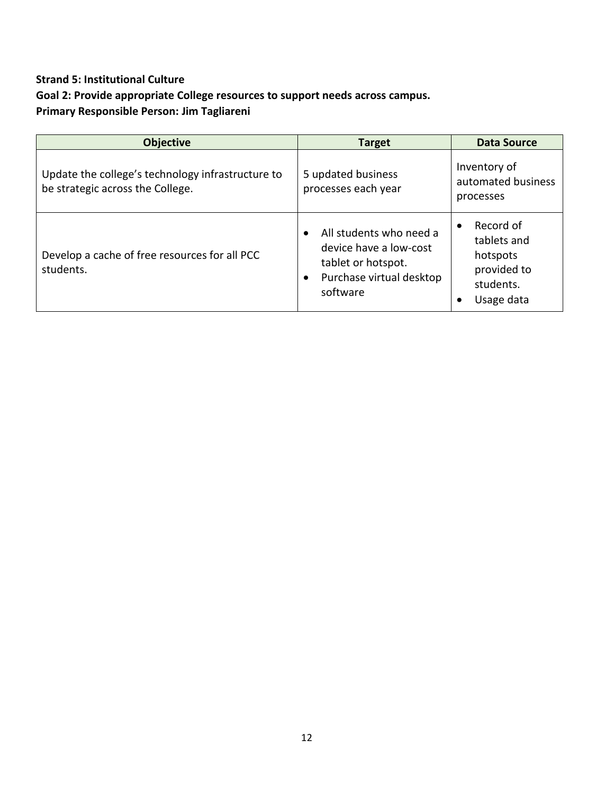# **Strand 5: Institutional Culture**

# **Goal 2: Provide appropriate College resources to support needs across campus.**

**Primary Responsible Person: Jim Tagliareni**

| <b>Objective</b>                                                                      | <b>Target</b>                                                                                                                             | <b>Data Source</b>                                                             |
|---------------------------------------------------------------------------------------|-------------------------------------------------------------------------------------------------------------------------------------------|--------------------------------------------------------------------------------|
| Update the college's technology infrastructure to<br>be strategic across the College. | 5 updated business<br>processes each year                                                                                                 | Inventory of<br>automated business<br>processes                                |
| Develop a cache of free resources for all PCC<br>students.                            | All students who need a<br>$\bullet$<br>device have a low-cost<br>tablet or hotspot.<br>Purchase virtual desktop<br>$\bullet$<br>software | Record of<br>tablets and<br>hotspots<br>provided to<br>students.<br>Usage data |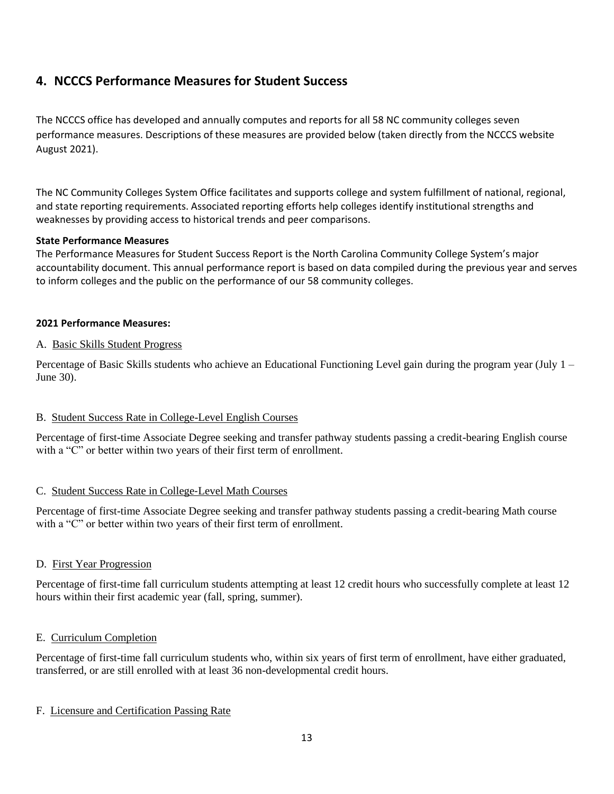# **4. NCCCS Performance Measures for Student Success**

The NCCCS office has developed and annually computes and reports for all 58 NC community colleges seven performance measures. Descriptions of these measures are provided below (taken directly from the NCCCS website August 2021).

The NC Community Colleges System Office facilitates and supports college and system fulfillment of national, regional, and state reporting requirements. Associated reporting efforts help colleges identify institutional strengths and weaknesses by providing access to historical trends and peer comparisons.

### **State Performance Measures**

The Performance Measures for Student Success Report is the North Carolina Community College System's major accountability document. This annual performance report is based on data compiled during the previous year and serves to inform colleges and the public on the performance of our 58 community colleges.

### **2021 Performance Measures:**

### A. Basic Skills Student Progress

Percentage of Basic Skills students who achieve an Educational Functioning Level gain during the program year (July 1 – June 30).

# B. Student Success Rate in College-Level English Courses

Percentage of first-time Associate Degree seeking and transfer pathway students passing a credit-bearing English course with a "C" or better within two years of their first term of enrollment.

# C. Student Success Rate in College‐Level Math Courses

Percentage of first-time Associate Degree seeking and transfer pathway students passing a credit-bearing Math course with a "C" or better within two years of their first term of enrollment.

# D. First Year Progression

Percentage of first-time fall curriculum students attempting at least 12 credit hours who successfully complete at least 12 hours within their first academic year (fall, spring, summer).

# E. Curriculum Completion

Percentage of first-time fall curriculum students who, within six years of first term of enrollment, have either graduated, transferred, or are still enrolled with at least 36 non-developmental credit hours.

#### F. Licensure and Certification Passing Rate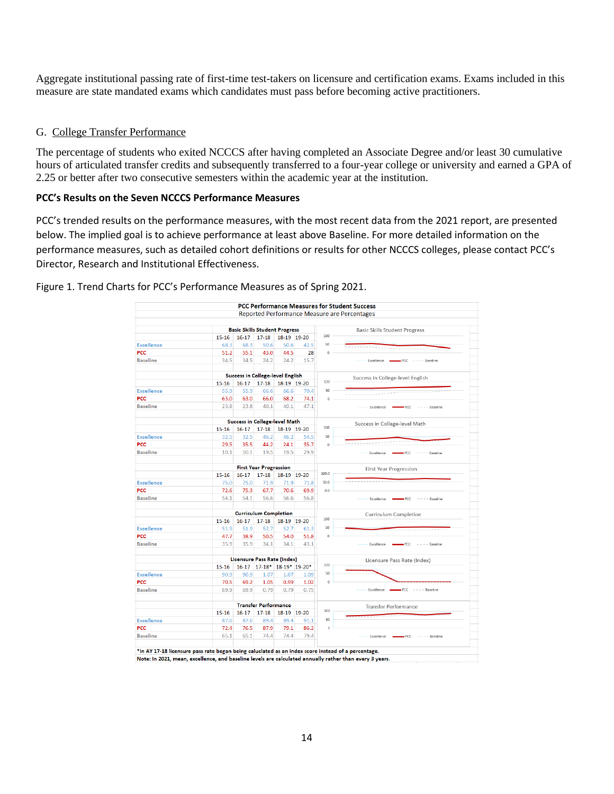Aggregate institutional passing rate of first-time test-takers on licensure and certification exams. Exams included in this measure are state mandated exams which candidates must pass before becoming active practitioners.

#### G. College Transfer Performance

The percentage of students who exited NCCCS after having completed an Associate Degree and/or least 30 cumulative hours of articulated transfer credits and subsequently transferred to a four-year college or university and earned a GPA of 2.25 or better after two consecutive semesters within the academic year at the institution.

### **PCC's Results on the Seven NCCCS Performance Measures**

PCC's trended results on the performance measures, with the most recent data from the 2021 report, are presented below. The implied goal is to achieve performance at least above Baseline. For more detailed information on the performance measures, such as detailed cohort definitions or results for other NCCCS colleges, please contact PCC's Director, Research and Institutional Effectiveness.

Figure 1. Trend Charts for PCC's Performance Measures as of Spring 2021.

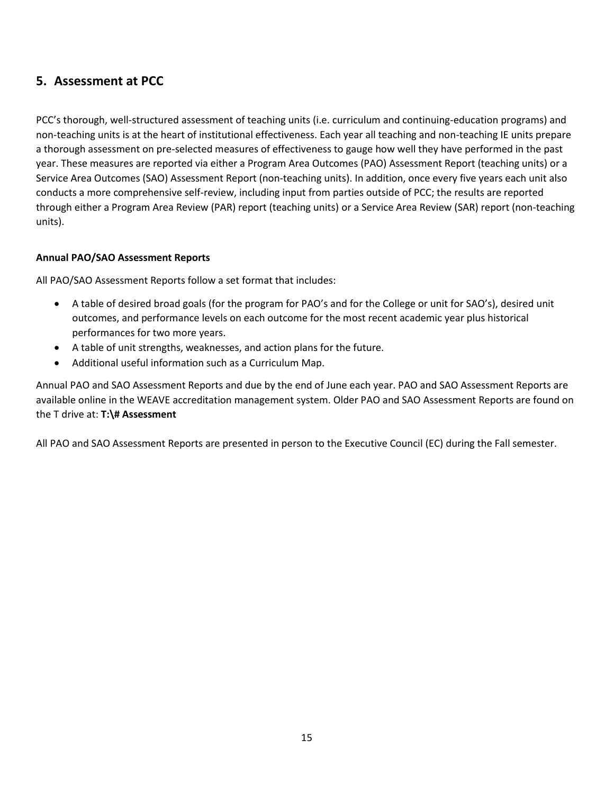# **5. Assessment at PCC**

PCC's thorough, well-structured assessment of teaching units (i.e. curriculum and continuing-education programs) and non-teaching units is at the heart of institutional effectiveness. Each year all teaching and non-teaching IE units prepare a thorough assessment on pre-selected measures of effectiveness to gauge how well they have performed in the past year. These measures are reported via either a Program Area Outcomes (PAO) Assessment Report (teaching units) or a Service Area Outcomes (SAO) Assessment Report (non-teaching units). In addition, once every five years each unit also conducts a more comprehensive self-review, including input from parties outside of PCC; the results are reported through either a Program Area Review (PAR) report (teaching units) or a Service Area Review (SAR) report (non-teaching units).

# **Annual PAO/SAO Assessment Reports**

All PAO/SAO Assessment Reports follow a set format that includes:

- A table of desired broad goals (for the program for PAO's and for the College or unit for SAO's), desired unit outcomes, and performance levels on each outcome for the most recent academic year plus historical performances for two more years.
- A table of unit strengths, weaknesses, and action plans for the future.
- Additional useful information such as a Curriculum Map.

Annual PAO and SAO Assessment Reports and due by the end of June each year. PAO and SAO Assessment Reports are available online in the WEAVE accreditation management system. Older PAO and SAO Assessment Reports are found on the T drive at: **T:\# Assessment**

All PAO and SAO Assessment Reports are presented in person to the Executive Council (EC) during the Fall semester.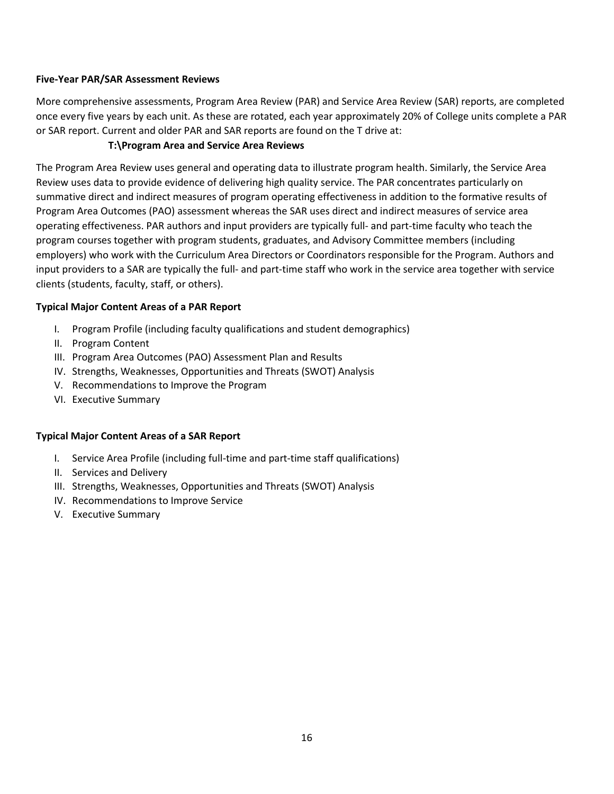### **Five-Year PAR/SAR Assessment Reviews**

More comprehensive assessments, Program Area Review (PAR) and Service Area Review (SAR) reports, are completed once every five years by each unit. As these are rotated, each year approximately 20% of College units complete a PAR or SAR report. Current and older PAR and SAR reports are found on the T drive at:

# **T:\Program Area and Service Area Reviews**

The Program Area Review uses general and operating data to illustrate program health. Similarly, the Service Area Review uses data to provide evidence of delivering high quality service. The PAR concentrates particularly on summative direct and indirect measures of program operating effectiveness in addition to the formative results of Program Area Outcomes (PAO) assessment whereas the SAR uses direct and indirect measures of service area operating effectiveness. PAR authors and input providers are typically full‐ and part‐time faculty who teach the program courses together with program students, graduates, and Advisory Committee members (including employers) who work with the Curriculum Area Directors or Coordinators responsible for the Program. Authors and input providers to a SAR are typically the full‐ and part‐time staff who work in the service area together with service clients (students, faculty, staff, or others).

### **Typical Major Content Areas of a PAR Report**

- I. Program Profile (including faculty qualifications and student demographics)
- II. Program Content
- III. Program Area Outcomes (PAO) Assessment Plan and Results
- IV. Strengths, Weaknesses, Opportunities and Threats (SWOT) Analysis
- V. Recommendations to Improve the Program
- VI. Executive Summary

#### **Typical Major Content Areas of a SAR Report**

- I. Service Area Profile (including full-time and part-time staff qualifications)
- II. Services and Delivery
- III. Strengths, Weaknesses, Opportunities and Threats (SWOT) Analysis
- IV. Recommendations to Improve Service
- V. Executive Summary